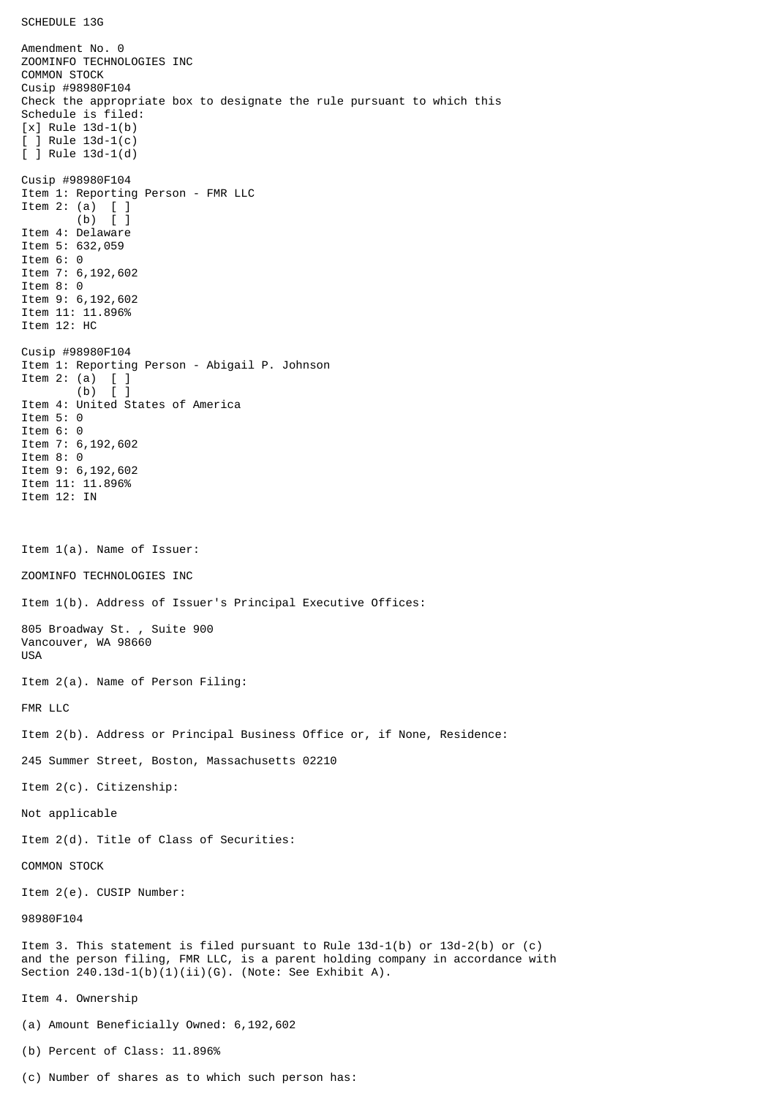Amendment No. 0 ZOOMINFO TECHNOLOGIES INC COMMON STOCK Cusip #98980F104 Check the appropriate box to designate the rule pursuant to which this Schedule is filed: [x] Rule 13d-1(b) [ ] Rule 13d-1(c) [ ] Rule 13d-1(d) Cusip #98980F104 Item 1: Reporting Person - FMR LLC Item 2: (a) [ ] (b) [ ] Item 4: Delaware Item 5: 632,059 Item 6: 0 Item 7: 6,192,602 Item 8: 0 Item 9: 6,192,602 Item 11: 11.896% Item 12: HC Cusip #98980F104 Item 1: Reporting Person - Abigail P. Johnson Item 2: (a)  $\begin{bmatrix} 1 \\ 0 \end{bmatrix}$  $(b)$ Item 4: United States of America Item 5: 0 Item 6: 0 Item 7: 6,192,602 Item 8: 0 Item 9: 6,192,602 Item 11: 11.896% Item 12: IN Item 1(a). Name of Issuer: ZOOMINFO TECHNOLOGIES INC Item 1(b). Address of Issuer's Principal Executive Offices: 805 Broadway St. , Suite 900 Vancouver, WA 98660 USA Item 2(a). Name of Person Filing: FMR LLC Item 2(b). Address or Principal Business Office or, if None, Residence: 245 Summer Street, Boston, Massachusetts 02210 Item 2(c). Citizenship: Not applicable Item 2(d). Title of Class of Securities: COMMON STOCK Item 2(e). CUSIP Number: 98980F104 Item 3. This statement is filed pursuant to Rule 13d-1(b) or 13d-2(b) or (c) and the person filing, FMR LLC, is a parent holding company in accordance with Section 240.13d-1(b)(1)(ii)(G). (Note: See Exhibit A). Item 4. Ownership (a) Amount Beneficially Owned: 6,192,602 (b) Percent of Class: 11.896%

(c) Number of shares as to which such person has: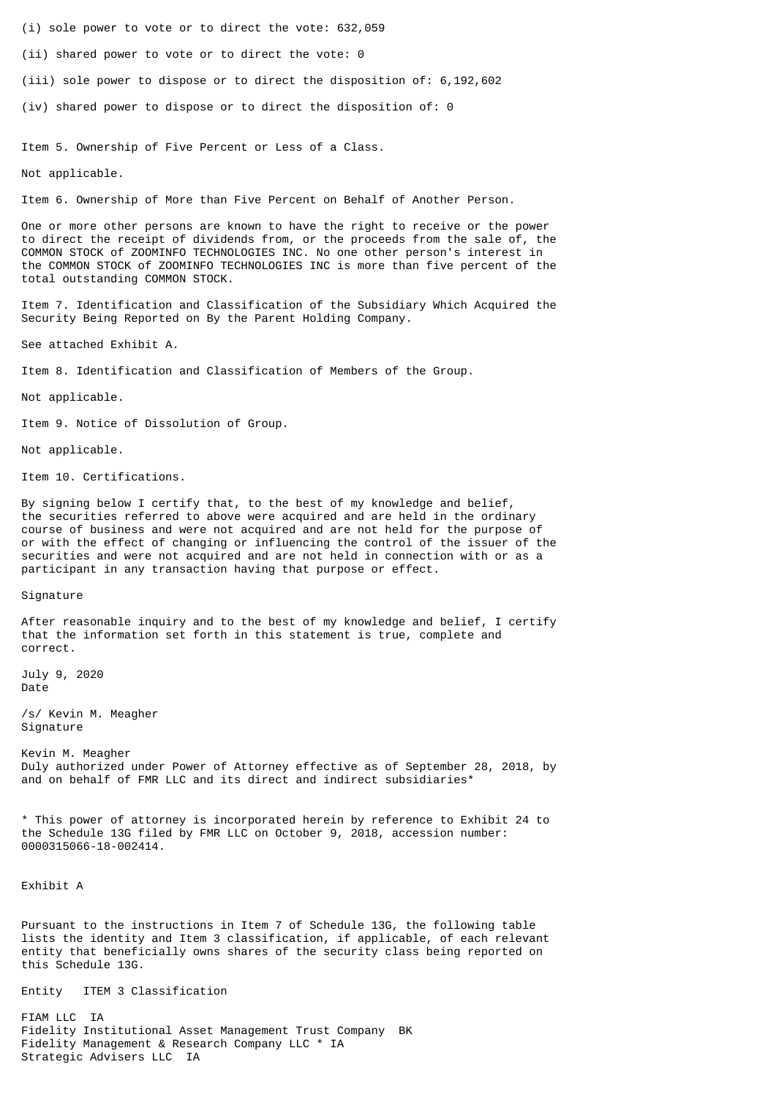(i) sole power to vote or to direct the vote: 632,059

(ii) shared power to vote or to direct the vote: 0

(iii) sole power to dispose or to direct the disposition of: 6,192,602

(iv) shared power to dispose or to direct the disposition of: 0

Item 5. Ownership of Five Percent or Less of a Class.

Not applicable.

Item 6. Ownership of More than Five Percent on Behalf of Another Person.

One or more other persons are known to have the right to receive or the power to direct the receipt of dividends from, or the proceeds from the sale of, the COMMON STOCK of ZOOMINFO TECHNOLOGIES INC. No one other person's interest in the COMMON STOCK of ZOOMINFO TECHNOLOGIES INC is more than five percent of the total outstanding COMMON STOCK.

Item 7. Identification and Classification of the Subsidiary Which Acquired the Security Being Reported on By the Parent Holding Company.

See attached Exhibit A.

Item 8. Identification and Classification of Members of the Group.

Not applicable.

Item 9. Notice of Dissolution of Group.

Not applicable.

Item 10. Certifications.

By signing below I certify that, to the best of my knowledge and belief, the securities referred to above were acquired and are held in the ordinary course of business and were not acquired and are not held for the purpose of or with the effect of changing or influencing the control of the issuer of the securities and were not acquired and are not held in connection with or as a participant in any transaction having that purpose or effect.

Signature

After reasonable inquiry and to the best of my knowledge and belief, I certify that the information set forth in this statement is true, complete and correct.

July 9, 2020 Date

/s/ Kevin M. Meagher Signature

Kevin M. Meagher Duly authorized under Power of Attorney effective as of September 28, 2018, by and on behalf of FMR LLC and its direct and indirect subsidiaries\*

\* This power of attorney is incorporated herein by reference to Exhibit 24 to the Schedule 13G filed by FMR LLC on October 9, 2018, accession number: 0000315066-18-002414.

Exhibit A

Pursuant to the instructions in Item 7 of Schedule 13G, the following table lists the identity and Item 3 classification, if applicable, of each relevant entity that beneficially owns shares of the security class being reported on this Schedule 13G.

Entity ITEM 3 Classification

FIAM LLC IA Fidelity Institutional Asset Management Trust Company BK Fidelity Management & Research Company LLC \* IA Strategic Advisers LLC IA